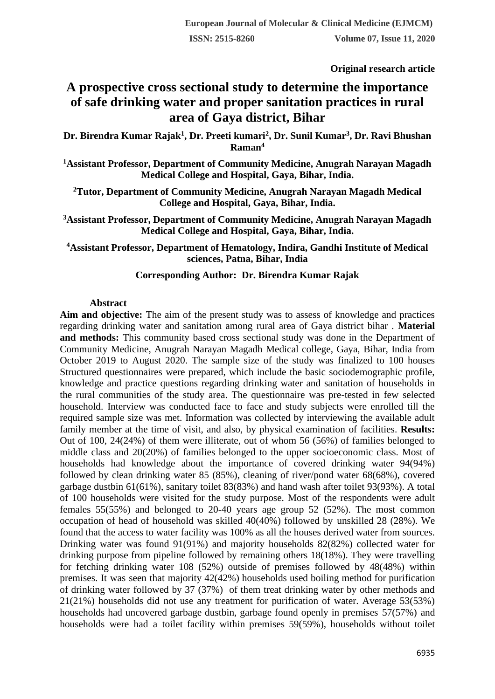**Original research article** 

# **A prospective cross sectional study to determine the importance of safe drinking water and proper sanitation practices in rural area of Gaya district, Bihar**

**Dr. Birendra Kumar Rajak<sup>1</sup> , Dr. Preeti kumari<sup>2</sup> , Dr. Sunil Kumar<sup>3</sup> , Dr. Ravi Bhushan Raman<sup>4</sup>**

**<sup>1</sup>Assistant Professor, Department of Community Medicine, Anugrah Narayan Magadh Medical College and Hospital, Gaya, Bihar, India.**

**<sup>2</sup>Tutor, Department of Community Medicine, Anugrah Narayan Magadh Medical College and Hospital, Gaya, Bihar, India.**

**<sup>3</sup>Assistant Professor, Department of Community Medicine, Anugrah Narayan Magadh Medical College and Hospital, Gaya, Bihar, India.**

**<sup>4</sup>Assistant Professor, Department of Hematology, Indira, Gandhi Institute of Medical sciences, Patna, Bihar, India**

## **Corresponding Author: Dr. Birendra Kumar Rajak**

## **Abstract**

**Aim and objective:** The aim of the present study was to assess of knowledge and practices regarding drinking water and sanitation among rural area of Gaya district bihar . **Material and methods:** This community based cross sectional study was done in the Department of Community Medicine, Anugrah Narayan Magadh Medical college, Gaya, Bihar, India from October 2019 to August 2020. The sample size of the study was finalized to 100 houses Structured questionnaires were prepared, which include the basic sociodemographic profile, knowledge and practice questions regarding drinking water and sanitation of households in the rural communities of the study area. The questionnaire was pre-tested in few selected household. Interview was conducted face to face and study subjects were enrolled till the required sample size was met. Information was collected by interviewing the available adult family member at the time of visit, and also, by physical examination of facilities. **Results:** Out of 100, 24(24%) of them were illiterate, out of whom 56 (56%) of families belonged to middle class and 20(20%) of families belonged to the upper socioeconomic class. Most of households had knowledge about the importance of covered drinking water 94(94%) followed by clean drinking water 85 (85%), cleaning of river/pond water 68(68%), covered garbage dustbin 61(61%), sanitary toilet 83(83%) and hand wash after toilet 93(93%). A total of 100 households were visited for the study purpose. Most of the respondents were adult females 55(55%) and belonged to 20-40 years age group 52 (52%). The most common occupation of head of household was skilled 40(40%) followed by unskilled 28 (28%). We found that the access to water facility was 100% as all the houses derived water from sources. Drinking water was found 91(91%) and majority households 82(82%) collected water for drinking purpose from pipeline followed by remaining others 18(18%). They were travelling for fetching drinking water 108 (52%) outside of premises followed by 48(48%) within premises. It was seen that majority 42(42%) households used boiling method for purification of drinking water followed by 37 (37%) of them treat drinking water by other methods and 21(21%) households did not use any treatment for purification of water. Average 53(53%) households had uncovered garbage dustbin, garbage found openly in premises 57(57%) and households were had a toilet facility within premises 59(59%), households without toilet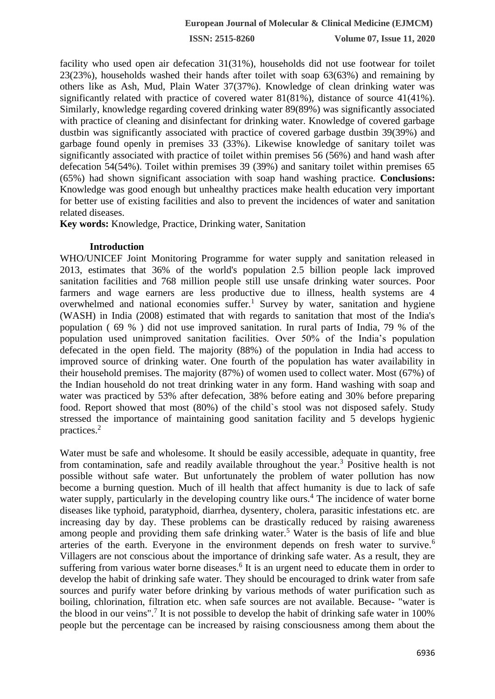facility who used open air defecation 31(31%), households did not use footwear for toilet 23(23%), households washed their hands after toilet with soap 63(63%) and remaining by others like as Ash, Mud, Plain Water 37(37%). Knowledge of clean drinking water was significantly related with practice of covered water 81(81%), distance of source 41(41%). Similarly, knowledge regarding covered drinking water 89(89%) was significantly associated with practice of cleaning and disinfectant for drinking water. Knowledge of covered garbage dustbin was significantly associated with practice of covered garbage dustbin 39(39%) and garbage found openly in premises 33 (33%). Likewise knowledge of sanitary toilet was significantly associated with practice of toilet within premises 56 (56%) and hand wash after defecation 54(54%). Toilet within premises 39 (39%) and sanitary toilet within premises 65 (65%) had shown significant association with soap hand washing practice. **Conclusions:**  Knowledge was good enough but unhealthy practices make health education very important for better use of existing facilities and also to prevent the incidences of water and sanitation related diseases.

**Key words:** Knowledge, Practice, Drinking water, Sanitation

#### **Introduction**

WHO/UNICEF Joint Monitoring Programme for water supply and sanitation released in 2013, estimates that 36% of the world's population 2.5 billion people lack improved sanitation facilities and 768 million people still use unsafe drinking water sources. Poor farmers and wage earners are less productive due to illness, health systems are 4 overwhelmed and national economies suffer.<sup>1</sup> Survey by water, sanitation and hygiene (WASH) in India (2008) estimated that with regards to sanitation that most of the India's population ( 69 % ) did not use improved sanitation. In rural parts of India, 79 % of the population used unimproved sanitation facilities. Over 50% of the India's population defecated in the open field. The majority (88%) of the population in India had access to improved source of drinking water. One fourth of the population has water availability in their household premises. The majority (87%) of women used to collect water. Most (67%) of the Indian household do not treat drinking water in any form. Hand washing with soap and water was practiced by 53% after defecation, 38% before eating and 30% before preparing food. Report showed that most (80%) of the child`s stool was not disposed safely. Study stressed the importance of maintaining good sanitation facility and 5 develops hygienic practices.<sup>2</sup>

Water must be safe and wholesome. It should be easily accessible, adequate in quantity, free from contamination, safe and readily available throughout the year.<sup>3</sup> Positive health is not possible without safe water. But unfortunately the problem of water pollution has now become a burning question. Much of ill health that affect humanity is due to lack of safe water supply, particularly in the developing country like ours.<sup>4</sup> The incidence of water borne diseases like typhoid, paratyphoid, diarrhea, dysentery, cholera, parasitic infestations etc. are increasing day by day. These problems can be drastically reduced by raising awareness among people and providing them safe drinking water.<sup>5</sup> Water is the basis of life and blue arteries of the earth. Everyone in the environment depends on fresh water to survive.<sup>6</sup> Villagers are not conscious about the importance of drinking safe water. As a result, they are suffering from various water borne diseases.<sup>6</sup> It is an urgent need to educate them in order to develop the habit of drinking safe water. They should be encouraged to drink water from safe sources and purify water before drinking by various methods of water purification such as boiling, chlorination, filtration etc. when safe sources are not available. Because- "water is the blood in our veins".<sup>7</sup> It is not possible to develop the habit of drinking safe water in 100% people but the percentage can be increased by raising consciousness among them about the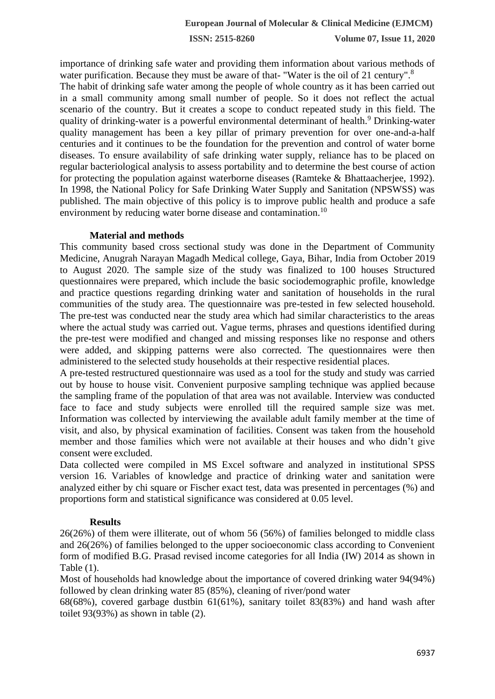importance of drinking safe water and providing them information about various methods of water purification. Because they must be aware of that- "Water is the oil of 21 century".<sup>8</sup>

The habit of drinking safe water among the people of whole country as it has been carried out in a small community among small number of people. So it does not reflect the actual scenario of the country. But it creates a scope to conduct repeated study in this field. The quality of drinking-water is a powerful environmental determinant of health.<sup>9</sup> Drinking-water quality management has been a key pillar of primary prevention for over one-and-a-half centuries and it continues to be the foundation for the prevention and control of water borne diseases. To ensure availability of safe drinking water supply, reliance has to be placed on regular bacteriological analysis to assess portability and to determine the best course of action for protecting the population against waterborne diseases (Ramteke & Bhattaacherjee, 1992). In 1998, the National Policy for Safe Drinking Water Supply and Sanitation (NPSWSS) was published. The main objective of this policy is to improve public health and produce a safe environment by reducing water borne disease and contamination.<sup>10</sup>

#### **Material and methods**

This community based cross sectional study was done in the Department of Community Medicine, Anugrah Narayan Magadh Medical college, Gaya, Bihar, India from October 2019 to August 2020. The sample size of the study was finalized to 100 houses Structured questionnaires were prepared, which include the basic sociodemographic profile, knowledge and practice questions regarding drinking water and sanitation of households in the rural communities of the study area. The questionnaire was pre-tested in few selected household. The pre-test was conducted near the study area which had similar characteristics to the areas where the actual study was carried out. Vague terms, phrases and questions identified during the pre-test were modified and changed and missing responses like no response and others were added, and skipping patterns were also corrected. The questionnaires were then administered to the selected study households at their respective residential places.

A pre-tested restructured questionnaire was used as a tool for the study and study was carried out by house to house visit. Convenient purposive sampling technique was applied because the sampling frame of the population of that area was not available. Interview was conducted face to face and study subjects were enrolled till the required sample size was met. Information was collected by interviewing the available adult family member at the time of visit, and also, by physical examination of facilities. Consent was taken from the household member and those families which were not available at their houses and who didn't give consent were excluded.

Data collected were compiled in MS Excel software and analyzed in institutional SPSS version 16. Variables of knowledge and practice of drinking water and sanitation were analyzed either by chi square or Fischer exact test, data was presented in percentages (%) and proportions form and statistical significance was considered at 0.05 level.

## **Results**

26(26%) of them were illiterate, out of whom 56 (56%) of families belonged to middle class and 26(26%) of families belonged to the upper socioeconomic class according to Convenient form of modified B.G. Prasad revised income categories for all India (IW) 2014 as shown in Table (1).

Most of households had knowledge about the importance of covered drinking water 94(94%) followed by clean drinking water 85 (85%), cleaning of river/pond water

68(68%), covered garbage dustbin 61(61%), sanitary toilet 83(83%) and hand wash after toilet 93(93%) as shown in table (2).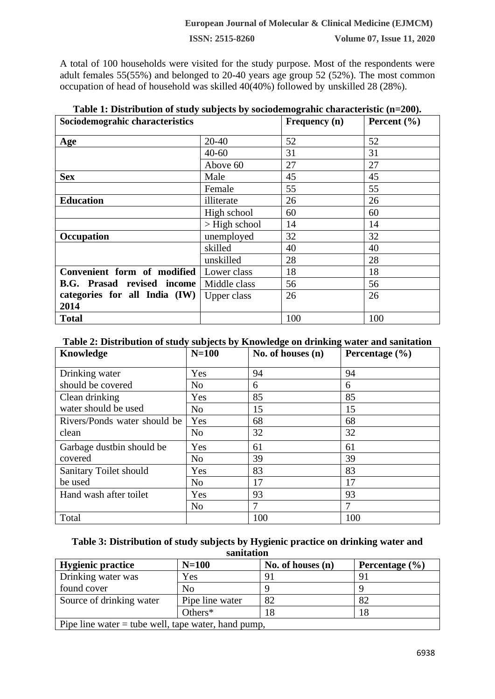A total of 100 households were visited for the study purpose. Most of the respondents were adult females 55(55%) and belonged to 20-40 years age group 52 (52%). The most common occupation of head of household was skilled 40(40%) followed by unskilled 28 (28%).

| Table 1: Distribution of study subjects by sociodemograhic characteristic (n=200). |                 |               |                 |  |  |
|------------------------------------------------------------------------------------|-----------------|---------------|-----------------|--|--|
| Sociodemograhic characteristics                                                    |                 | Frequency (n) | Percent $(\% )$ |  |  |
| Age                                                                                | $20 - 40$       | 52            | 52              |  |  |
|                                                                                    | $40 - 60$       | 31            | 31              |  |  |
|                                                                                    | Above 60        | 27            | 27              |  |  |
| <b>Sex</b>                                                                         | Male            | 45            | 45              |  |  |
|                                                                                    | Female          | 55            | 55              |  |  |
| <b>Education</b>                                                                   | illiterate      | 26            | 26              |  |  |
|                                                                                    | High school     | 60            | 60              |  |  |
|                                                                                    | $>$ High school | 14            | 14              |  |  |
| Occupation                                                                         | unemployed      | 32            | 32              |  |  |
|                                                                                    | skilled         | 40            | 40              |  |  |
|                                                                                    | unskilled       | 28            | 28              |  |  |
| Convenient form of modified                                                        | Lower class     | 18            | 18              |  |  |
| <b>B.G. Prasad revised income</b>                                                  | Middle class    | 56            | 56              |  |  |
| categories for all India (IW)                                                      | Upper class     | 26            | 26              |  |  |
| 2014                                                                               |                 |               |                 |  |  |
| <b>Total</b>                                                                       |                 | 100           | 100             |  |  |

# **Table 2: Distribution of study subjects by Knowledge on drinking water and sanitation**

| Knowledge                    | $N=100$        | No. of houses $(n)$ | Percentage $(\% )$ |
|------------------------------|----------------|---------------------|--------------------|
| Drinking water               | Yes            | 94                  | 94                 |
| should be covered            | N <sub>o</sub> | 6                   | 6                  |
| Clean drinking               | Yes            | 85                  | 85                 |
| water should be used         | N <sub>o</sub> | 15                  | 15                 |
| Rivers/Ponds water should be | Yes            | 68                  | 68                 |
| clean                        | N <sub>o</sub> | 32                  | 32                 |
| Garbage dustbin should be    | Yes            | 61                  | 61                 |
| covered                      | N <sub>o</sub> | 39                  | 39                 |
| Sanitary Toilet should       | Yes            | 83                  | 83                 |
| be used                      | N <sub>o</sub> | 17                  | 17                 |
| Hand wash after toilet       | Yes            | 93                  | 93                 |
|                              | N <sub>o</sub> |                     |                    |
| Total                        |                | 100                 | 100                |

# **Table 3: Distribution of study subjects by Hygienic practice on drinking water and sanitation**

| <b>Hygienic practice</b>                              | $N=100$         | No. of houses $(n)$ | Percentage $(\% )$ |  |  |
|-------------------------------------------------------|-----------------|---------------------|--------------------|--|--|
| Drinking water was                                    | Yes             | 91                  | 91                 |  |  |
| found cover                                           | No              |                     |                    |  |  |
| Source of drinking water                              | Pipe line water | 82                  | 82                 |  |  |
|                                                       | Others $*$      | 18                  | 18                 |  |  |
| Pipe line water $=$ tube well, tape water, hand pump, |                 |                     |                    |  |  |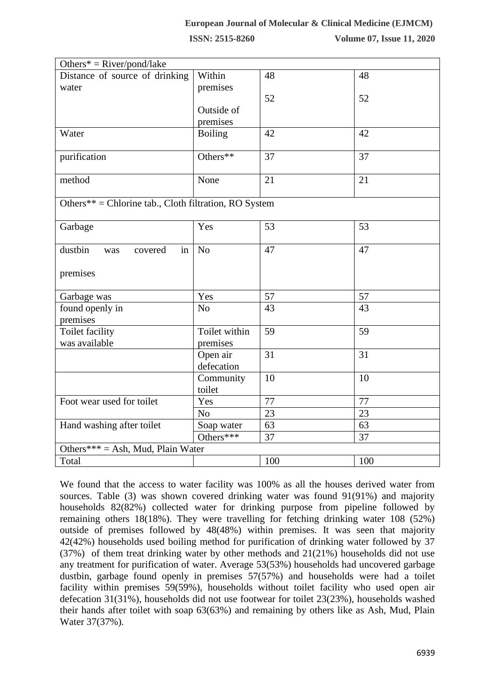| Others* = $River/pond/ lake$                          |                        |     |     |  |  |  |
|-------------------------------------------------------|------------------------|-----|-----|--|--|--|
| Distance of source of drinking                        | Within                 | 48  | 48  |  |  |  |
| water                                                 | premises               |     |     |  |  |  |
|                                                       |                        | 52  | 52  |  |  |  |
|                                                       | Outside of             |     |     |  |  |  |
|                                                       | premises               |     |     |  |  |  |
| Water                                                 | <b>Boiling</b>         | 42  | 42  |  |  |  |
| purification                                          | Others**               | 37  | 37  |  |  |  |
| method                                                | None                   | 21  | 21  |  |  |  |
| Others** = Chlorine tab., Cloth filtration, RO System |                        |     |     |  |  |  |
| Garbage                                               | Yes                    | 53  | 53  |  |  |  |
| dustbin<br>in<br>covered<br>was                       | N <sub>o</sub>         | 47  | 47  |  |  |  |
| premises                                              |                        |     |     |  |  |  |
| Garbage was                                           | Yes                    | 57  | 57  |  |  |  |
| found openly in<br>premises                           | N <sub>o</sub>         | 43  | 43  |  |  |  |
| <b>Toilet facility</b>                                | Toilet within          | 59  | 59  |  |  |  |
| was available                                         | premises               |     |     |  |  |  |
|                                                       | Open air<br>defecation | 31  | 31  |  |  |  |
|                                                       | Community<br>toilet    | 10  | 10  |  |  |  |
| Foot wear used for toilet                             | Yes                    | 77  | 77  |  |  |  |
|                                                       | N <sub>o</sub>         | 23  | 23  |  |  |  |
| Hand washing after toilet                             | Soap water             | 63  | 63  |  |  |  |
|                                                       | Others***              | 37  | 37  |  |  |  |
| Others*** = Ash, Mud, Plain Water                     |                        |     |     |  |  |  |
| Total                                                 |                        | 100 | 100 |  |  |  |
|                                                       |                        |     |     |  |  |  |

We found that the access to water facility was 100% as all the houses derived water from sources. Table (3) was shown covered drinking water was found 91(91%) and majority households 82(82%) collected water for drinking purpose from pipeline followed by remaining others 18(18%). They were travelling for fetching drinking water 108 (52%) outside of premises followed by 48(48%) within premises. It was seen that majority 42(42%) households used boiling method for purification of drinking water followed by 37 (37%) of them treat drinking water by other methods and 21(21%) households did not use any treatment for purification of water. Average 53(53%) households had uncovered garbage dustbin, garbage found openly in premises 57(57%) and households were had a toilet facility within premises 59(59%), households without toilet facility who used open air defecation 31(31%), households did not use footwear for toilet 23(23%), households washed their hands after toilet with soap 63(63%) and remaining by others like as Ash, Mud, Plain Water 37(37%).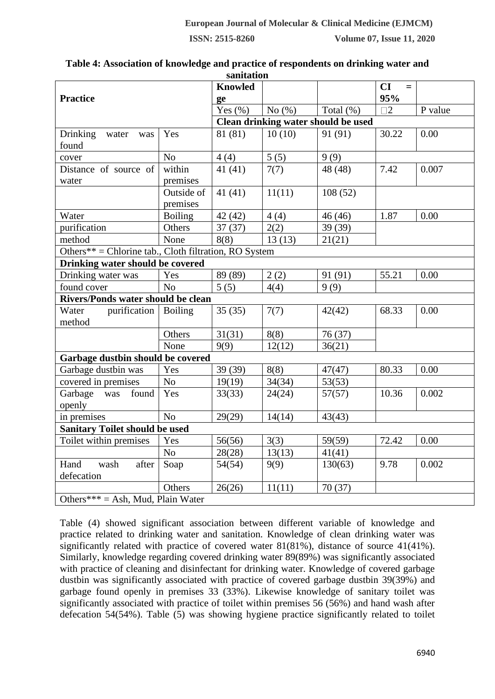| sanitation                                            |                |                |           |                                     |             |         |  |
|-------------------------------------------------------|----------------|----------------|-----------|-------------------------------------|-------------|---------|--|
|                                                       |                | <b>Knowled</b> |           |                                     | CI<br>$=$   |         |  |
| <b>Practice</b>                                       |                | ge             |           |                                     | 95%         |         |  |
|                                                       |                | Yes $(\% )$    | No $(\%)$ | Total $(\%)$                        | $\square$ 2 | P value |  |
|                                                       |                |                |           | Clean drinking water should be used |             |         |  |
| <b>Drinking</b><br>water<br>was                       | Yes            | 81 (81)        | 10(10)    | 91 (91)                             | 30.22       | 0.00    |  |
| found                                                 |                |                |           |                                     |             |         |  |
| cover                                                 | No             | 4(4)           | 5(5)      | 9(9)                                |             |         |  |
| Distance of source of                                 | within         | 41(41)         | 7(7)      | 48 (48)                             | 7.42        | 0.007   |  |
| water                                                 | premises       |                |           |                                     |             |         |  |
|                                                       | Outside of     | 41(41)         | 11(11)    | 108(52)                             |             |         |  |
|                                                       | premises       |                |           |                                     |             |         |  |
| Water                                                 | <b>Boiling</b> | 42(42)         | 4(4)      | 46(46)                              | 1.87        | 0.00    |  |
| purification                                          | Others         | 37(37)         | 2(2)      | 39 (39)                             |             |         |  |
| method                                                | None           | 8(8)           | 13(13)    | 21(21)                              |             |         |  |
| Others** = Chlorine tab., Cloth filtration, RO System |                |                |           |                                     |             |         |  |
| Drinking water should be covered                      |                |                |           |                                     |             |         |  |
| Drinking water was                                    | Yes            | 89 (89)        | 2(2)      | 91 (91)                             | 55.21       | 0.00    |  |
| found cover                                           | N <sub>o</sub> | 5(5)           | 4(4)      | 9(9)                                |             |         |  |
| Rivers/Ponds water should be clean                    |                |                |           |                                     |             |         |  |
| purification<br>Water                                 | <b>Boiling</b> | 35(35)         | 7(7)      | 42(42)                              | 68.33       | 0.00    |  |
| method                                                |                |                |           |                                     |             |         |  |
|                                                       | Others         | 31(31)         | 8(8)      | 76(37)                              |             |         |  |
|                                                       | None           | 9(9)           | 12(12)    | 36(21)                              |             |         |  |
| Garbage dustbin should be covered                     |                |                |           |                                     |             |         |  |
| Garbage dustbin was                                   | Yes            | 39 (39)        | 8(8)      | 47(47)                              | 80.33       | 0.00    |  |
| covered in premises                                   | No             | 19(19)         | 34(34)    | 53(53)                              |             |         |  |
| Garbage was<br>found                                  | Yes            | 33(33)         | 24(24)    | 57(57)                              | 10.36       | 0.002   |  |
| openly                                                |                |                |           |                                     |             |         |  |
| in premises                                           | No             | 29(29)         | 14(14)    | 43(43)                              |             |         |  |
| <b>Sanitary Toilet should be used</b>                 |                |                |           |                                     |             |         |  |
| Toilet within premises                                | Yes            | 56(56)         | 3(3)      | 59(59)                              | 72.42       | 0.00    |  |
|                                                       | N <sub>o</sub> | 28(28)         | 13(13)    | 41(41)                              |             |         |  |
| Hand<br>wash<br>after                                 | Soap           | 54(54)         | 9(9)      | 130(63)                             | 9.78        | 0.002   |  |
| defecation                                            |                |                |           |                                     |             |         |  |
|                                                       | Others         | 26(26)         | 11(11)    | 70(37)                              |             |         |  |
| Others*** = Ash, Mud, Plain Water                     |                |                |           |                                     |             |         |  |

# **Table 4: Association of knowledge and practice of respondents on drinking water and**

Table (4) showed significant association between different variable of knowledge and practice related to drinking water and sanitation. Knowledge of clean drinking water was significantly related with practice of covered water 81(81%), distance of source 41(41%). Similarly, knowledge regarding covered drinking water 89(89%) was significantly associated with practice of cleaning and disinfectant for drinking water. Knowledge of covered garbage dustbin was significantly associated with practice of covered garbage dustbin 39(39%) and garbage found openly in premises 33 (33%). Likewise knowledge of sanitary toilet was significantly associated with practice of toilet within premises 56 (56%) and hand wash after defecation 54(54%). Table (5) was showing hygiene practice significantly related to toilet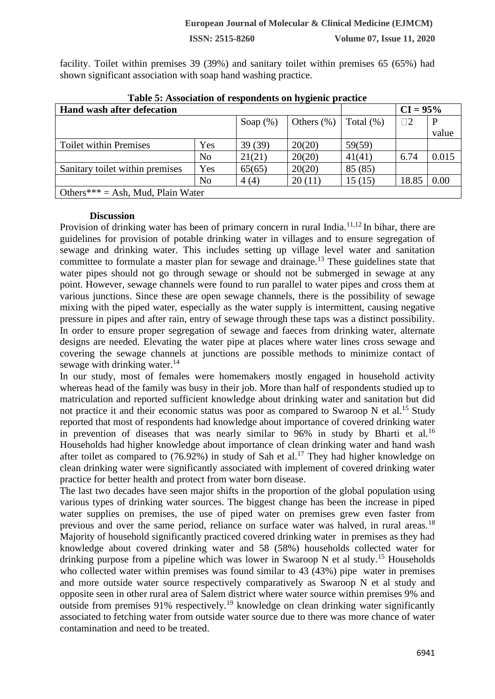facility. Toilet within premises 39 (39%) and sanitary toilet within premises 65 (65%) had shown significant association with soap hand washing practice.

| Table 5. Association of respondents on hygienic practice |     |             |               |              |            |       |  |
|----------------------------------------------------------|-----|-------------|---------------|--------------|------------|-------|--|
| Hand wash after defecation                               |     |             |               |              | $CI = 95%$ |       |  |
|                                                          |     | Soap $(\%)$ | Others $(\%)$ | Total $(\%)$ | $\Box$ 2   | P     |  |
|                                                          |     |             |               |              |            | value |  |
| <b>Toilet within Premises</b>                            | Yes | 39(39)      | 20(20)        | 59(59)       |            |       |  |
|                                                          | No  | 21(21)      | 20(20)        | 41(41)       | 6.74       | 0.015 |  |
| Sanitary toilet within premises                          | Yes | 65(65)      | 20(20)        | 85 (85)      |            |       |  |
|                                                          | No  | 4(4)        | 20(11)        | 15(15)       | 18.85      | 0.00  |  |
| Others*** = Ash, Mud, Plain Water                        |     |             |               |              |            |       |  |

#### **Discussion**

Provision of drinking water has been of primary concern in rural India.<sup>11,12</sup> In bihar, there are guidelines for provision of potable drinking water in villages and to ensure segregation of sewage and drinking water. This includes setting up village level water and sanitation committee to formulate a master plan for sewage and drainage.<sup>13</sup> These guidelines state that water pipes should not go through sewage or should not be submerged in sewage at any point. However, sewage channels were found to run parallel to water pipes and cross them at various junctions. Since these are open sewage channels, there is the possibility of sewage mixing with the piped water, especially as the water supply is intermittent, causing negative pressure in pipes and after rain, entry of sewage through these taps was a distinct possibility. In order to ensure proper segregation of sewage and faeces from drinking water, alternate designs are needed. Elevating the water pipe at places where water lines cross sewage and covering the sewage channels at junctions are possible methods to minimize contact of sewage with drinking water.<sup>14</sup>

In our study, most of females were homemakers mostly engaged in household activity whereas head of the family was busy in their job. More than half of respondents studied up to matriculation and reported sufficient knowledge about drinking water and sanitation but did not practice it and their economic status was poor as compared to Swaroop  $N$  et al.<sup>15</sup> Study reported that most of respondents had knowledge about importance of covered drinking water in prevention of diseases that was nearly similar to  $96\%$  in study by Bharti et al.<sup>16</sup> Households had higher knowledge about importance of clean drinking water and hand wash after toilet as compared to  $(76.92\%)$  in study of Sah et al.<sup>17</sup> They had higher knowledge on clean drinking water were significantly associated with implement of covered drinking water practice for better health and protect from water born disease.

The last two decades have seen major shifts in the proportion of the global population using various types of drinking water sources. The biggest change has been the increase in piped water supplies on premises, the use of piped water on premises grew even faster from previous and over the same period, reliance on surface water was halved, in rural areas.<sup>18</sup> Majority of household significantly practiced covered drinking water in premises as they had knowledge about covered drinking water and 58 (58%) households collected water for drinking purpose from a pipeline which was lower in Swaroop N et al study.<sup>15</sup> Households who collected water within premises was found similar to 43 (43%) pipe water in premises and more outside water source respectively comparatively as Swaroop N et al study and opposite seen in other rural area of Salem district where water source within premises 9% and outside from premises 91% respectively.<sup>19</sup> knowledge on clean drinking water significantly associated to fetching water from outside water source due to there was more chance of water contamination and need to be treated.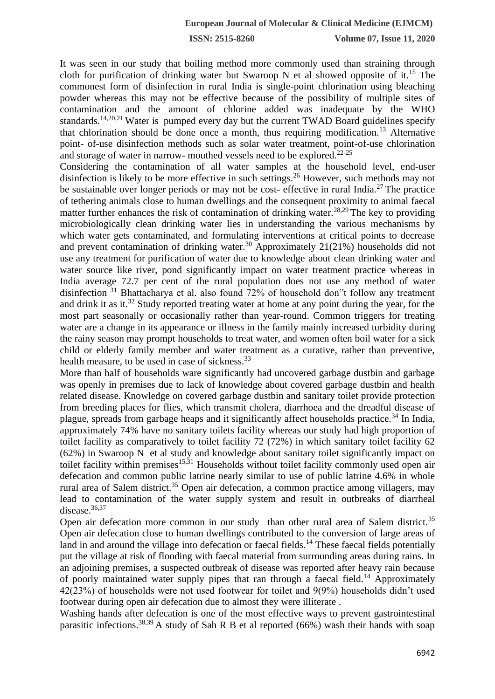It was seen in our study that boiling method more commonly used than straining through cloth for purification of drinking water but Swaroop N et al showed opposite of it.<sup>15</sup> The commonest form of disinfection in rural India is single-point chlorination using bleaching powder whereas this may not be effective because of the possibility of multiple sites of contamination and the amount of chlorine added was inadequate by the WHO standards.14,20,21 Water is pumped every day but the current TWAD Board guidelines specify that chlorination should be done once a month, thus requiring modification.<sup>13</sup> Alternative point- of-use disinfection methods such as solar water treatment, point-of-use chlorination and storage of water in narrow- mouthed vessels need to be explored.22-25

Considering the contamination of all water samples at the household level, end-user disinfection is likely to be more effective in such settings.<sup>26</sup> However, such methods may not be sustainable over longer periods or may not be cost- effective in rural India.<sup>27</sup> The practice of tethering animals close to human dwellings and the consequent proximity to animal faecal matter further enhances the risk of contamination of drinking water.<sup>28,29</sup> The key to providing microbiologically clean drinking water lies in understanding the various mechanisms by which water gets contaminated, and formulating interventions at critical points to decrease and prevent contamination of drinking water.<sup>30</sup> Approximately  $21(21%)$  households did not use any treatment for purification of water due to knowledge about clean drinking water and water source like river, pond significantly impact on water treatment practice whereas in India average 72.7 per cent of the rural population does not use any method of water disinfection <sup>31</sup> Bhattacharya et al. also found 72% of household don"t follow any treatment and drink it as it.<sup>32</sup> Study reported treating water at home at any point during the year, for the most part seasonally or occasionally rather than year-round. Common triggers for treating water are a change in its appearance or illness in the family mainly increased turbidity during the rainy season may prompt households to treat water, and women often boil water for a sick child or elderly family member and water treatment as a curative, rather than preventive, health measure, to be used in case of sickness.<sup>33</sup>

More than half of households ware significantly had uncovered garbage dustbin and garbage was openly in premises due to lack of knowledge about covered garbage dustbin and health related disease. Knowledge on covered garbage dustbin and sanitary toilet provide protection from breeding places for flies, which transmit cholera, diarrhoea and the dreadful disease of plague, spreads from garbage heaps and it significantly affect households practice.<sup>34</sup> In India, approximately 74% have no sanitary toilets facility whereas our study had high proportion of toilet facility as comparatively to toilet facility 72 (72%) in which sanitary toilet facility 62 (62%) in Swaroop N et al study and knowledge about sanitary toilet significantly impact on toilet facility within premises<sup>15,31</sup> Households without toilet facility commonly used open air defecation and common public latrine nearly similar to use of public latrine 4.6% in whole rural area of Salem district.<sup>35</sup> Open air defecation, a common practice among villagers, may lead to contamination of the water supply system and result in outbreaks of diarrheal disease.<sup>36,37</sup>

Open air defecation more common in our study than other rural area of Salem district.<sup>35</sup> Open air defecation close to human dwellings contributed to the conversion of large areas of land in and around the village into defecation or faecal fields.<sup>14</sup> These faecal fields potentially put the village at risk of flooding with faecal material from surrounding areas during rains. In an adjoining premises, a suspected outbreak of disease was reported after heavy rain because of poorly maintained water supply pipes that ran through a faecal field.<sup>14</sup> Approximately 42(23%) of households were not used footwear for toilet and 9(9%) households didn't used footwear during open air defecation due to almost they were illiterate .

Washing hands after defecation is one of the most effective ways to prevent gastrointestinal parasitic infections.<sup>38,39</sup> A study of Sah R B et al reported (66%) wash their hands with soap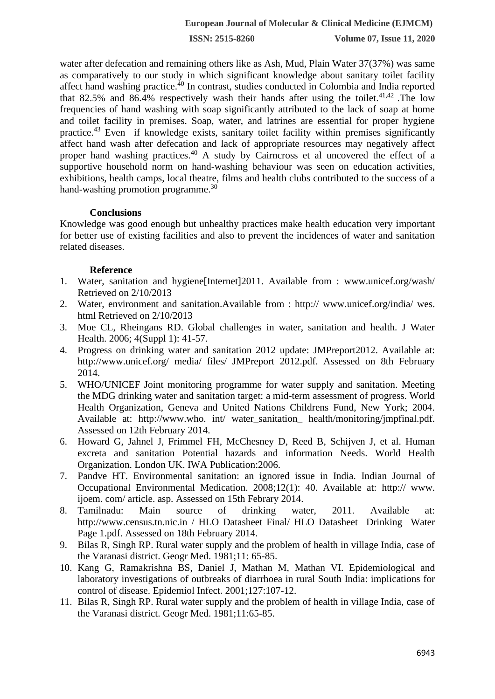water after defecation and remaining others like as Ash, Mud, Plain Water 37(37%) was same as comparatively to our study in which significant knowledge about sanitary toilet facility affect hand washing practice.<sup>40</sup> In contrast, studies conducted in Colombia and India reported that 82.5% and 86.4% respectively wash their hands after using the toilet.<sup>41,42</sup> .The low frequencies of hand washing with soap significantly attributed to the lack of soap at home and toilet facility in premises. Soap, water, and latrines are essential for proper hygiene practice.<sup>43</sup> Even if knowledge exists, sanitary toilet facility within premises significantly affect hand wash after defecation and lack of appropriate resources may negatively affect proper hand washing practices.<sup>40</sup> A study by Cairncross et al uncovered the effect of a supportive household norm on hand-washing behaviour was seen on education activities, exhibitions, health camps, local theatre, films and health clubs contributed to the success of a hand-washing promotion programme.<sup>30</sup>

# **Conclusions**

Knowledge was good enough but unhealthy practices make health education very important for better use of existing facilities and also to prevent the incidences of water and sanitation related diseases.

# **Reference**

- 1. Water, sanitation and hygiene[Internet]2011. Available from : www.unicef.org/wash/ Retrieved on 2/10/2013
- 2. Water, environment and sanitation.Available from : http:// www.unicef.org/india/ wes. html Retrieved on 2/10/2013
- 3. Moe CL, Rheingans RD. Global challenges in water, sanitation and health. J Water Health. 2006; 4(Suppl 1): 41-57.
- 4. Progress on drinking water and sanitation 2012 update: JMPreport2012. Available at: http://www.unicef.org/ media/ files/ JMPreport 2012.pdf. Assessed on 8th February 2014.
- 5. WHO/UNICEF Joint monitoring programme for water supply and sanitation. Meeting the MDG drinking water and sanitation target: a mid-term assessment of progress. World Health Organization, Geneva and United Nations Childrens Fund, New York; 2004. Available at: http://www.who. int/ water\_sanitation\_ health/monitoring/jmpfinal.pdf. Assessed on 12th February 2014.
- 6. Howard G, Jahnel J, Frimmel FH, McChesney D, Reed B, Schijven J, et al. Human excreta and sanitation Potential hazards and information Needs. World Health Organization. London UK. IWA Publication:2006.
- 7. Pandve HT. Environmental sanitation: an ignored issue in India. Indian Journal of Occupational Environmental Medication. 2008;12(1): 40. Available at: http:// www. ijoem. com/ article. asp. Assessed on 15th Febrary 2014.
- 8. Tamilnadu: Main source of drinking water, 2011. Available at: http://www.census.tn.nic.in / HLO Datasheet Final/ HLO Datasheet Drinking Water Page 1.pdf. Assessed on 18th February 2014.
- 9. Bilas R, Singh RP. Rural water supply and the problem of health in village India, case of the Varanasi district. Geogr Med. 1981;11: 65-85.
- 10. Kang G, Ramakrishna BS, Daniel J, Mathan M, Mathan VI. Epidemiological and laboratory investigations of outbreaks of diarrhoea in rural South India: implications for control of disease. Epidemiol Infect. 2001;127:107-12.
- 11. Bilas R, Singh RP. Rural water supply and the problem of health in village India, case of the Varanasi district. Geogr Med. 1981;11:65-85.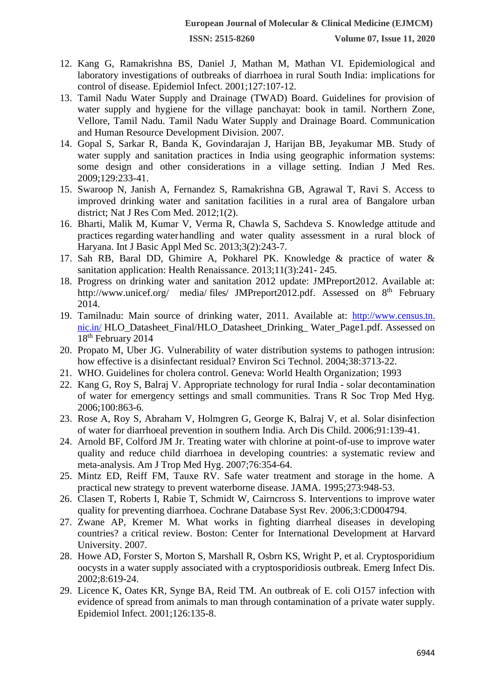- 12. Kang G, Ramakrishna BS, Daniel J, Mathan M, Mathan VI. Epidemiological and laboratory investigations of outbreaks of diarrhoea in rural South India: implications for control of disease. Epidemiol Infect. 2001;127:107-12.
- 13. Tamil Nadu Water Supply and Drainage (TWAD) Board. Guidelines for provision of water supply and hygiene for the village panchayat: book in tamil. Northern Zone, Vellore, Tamil Nadu. Tamil Nadu Water Supply and Drainage Board. Communication and Human Resource Development Division. 2007.
- 14. Gopal S, Sarkar R, Banda K, Govindarajan J, Harijan BB, Jeyakumar MB. Study of water supply and sanitation practices in India using geographic information systems: some design and other considerations in a village setting. Indian J Med Res. 2009;129:233-41.
- 15. Swaroop N, Janish A, Fernandez S, Ramakrishna GB, Agrawal T, Ravi S. Access to improved drinking water and sanitation facilities in a rural area of Bangalore urban district; Nat J Res Com Med. 2012;1(2).
- 16. Bharti, Malik M, Kumar V, Verma R, Chawla S, Sachdeva S. Knowledge attitude and practices regarding waterhandling and water quality assessment in a rural block of Haryana. Int J Basic Appl Med Sc. 2013;3(2):243-7.
- 17. Sah RB, Baral DD, Ghimire A, Pokharel PK. Knowledge & practice of water & sanitation application: Health Renaissance. 2013;11(3):241- 245.
- 18. Progress on drinking water and sanitation 2012 update: JMPreport2012. Available at[:](http://www.unicef.org/) <http://www.unicef.org/> media/ files/ JMPreport2012.pdf. Assessed on 8<sup>th</sup> February 2014.
- 19. Tamilnadu: Main source of drinking water, 2011. Available at: http://www.census.tn. nic.in/ HLO\_Datasheet\_Final/HLO\_Datasheet\_Drinking\_Water\_Page1.pdf. Assessed on 18<sup>th</sup> February 2014
- 20. Propato M, Uber JG. Vulnerability of water distribution systems to pathogen intrusion: how effective is a disinfectant residual? Environ Sci Technol. 2004;38:3713-22.
- 21. WHO. Guidelines for cholera control. Geneva: World Health Organization; 1993
- 22. Kang G, Roy S, Balraj V. Appropriate technology for rural India solar decontamination of water for emergency settings and small communities. Trans R Soc Trop Med Hyg. 2006;100:863-6.
- 23. Rose A, Roy S, Abraham V, Holmgren G, George K, Balraj V, et al. Solar disinfection of water for diarrhoeal prevention in southern India. Arch Dis Child. 2006;91:139-41.
- 24. Arnold BF, Colford JM Jr. Treating water with chlorine at point-of-use to improve water quality and reduce child diarrhoea in developing countries: a systematic review and meta-analysis. Am J Trop Med Hyg. 2007;76:354-64.
- 25. Mintz ED, Reiff FM, Tauxe RV. Safe water treatment and storage in the home. A practical new strategy to prevent waterborne disease. JAMA. 1995;273:948-53.
- 26. Clasen T, Roberts I, Rabie T, Schmidt W, Cairncross S. Interventions to improve water quality for preventing diarrhoea. Cochrane Database Syst Rev. 2006;3:CD004794.
- 27. Zwane AP, Kremer M. What works in fighting diarrheal diseases in developing countries? a critical review. Boston: Center for International Development at Harvard University. 2007.
- 28. Howe AD, Forster S, Morton S, Marshall R, Osbrn KS, Wright P, et al. Cryptosporidium oocysts in a water supply associated with a cryptosporidiosis outbreak. Emerg Infect Dis. 2002;8:619-24.
- 29. Licence K, Oates KR, Synge BA, Reid TM. An outbreak of E. coli O157 infection with evidence of spread from animals to man through contamination of a private water supply. Epidemiol Infect. 2001;126:135-8.